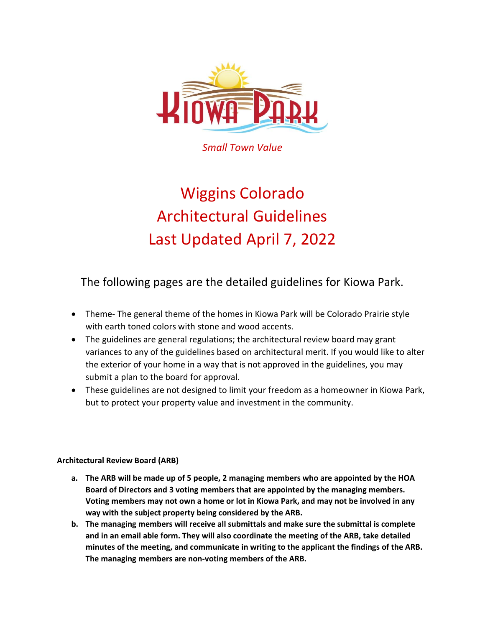

*Small Town Value*

## Wiggins Colorado Architectural Guidelines Last Updated April 7, 2022

The following pages are the detailed guidelines for Kiowa Park.

- Theme- The general theme of the homes in Kiowa Park will be Colorado Prairie style with earth toned colors with stone and wood accents.
- The guidelines are general regulations; the architectural review board may grant variances to any of the guidelines based on architectural merit. If you would like to alter the exterior of your home in a way that is not approved in the guidelines, you may submit a plan to the board for approval.
- These guidelines are not designed to limit your freedom as a homeowner in Kiowa Park, but to protect your property value and investment in the community.

**Architectural Review Board (ARB)** 

- **a. The ARB will be made up of 5 people, 2 managing members who are appointed by the HOA Board of Directors and 3 voting members that are appointed by the managing members. Voting members may not own a home or lot in Kiowa Park, and may not be involved in any way with the subject property being considered by the ARB.**
- **b. The managing members will receive all submittals and make sure the submittal is complete and in an email able form. They will also coordinate the meeting of the ARB, take detailed minutes of the meeting, and communicate in writing to the applicant the findings of the ARB. The managing members are non-voting members of the ARB.**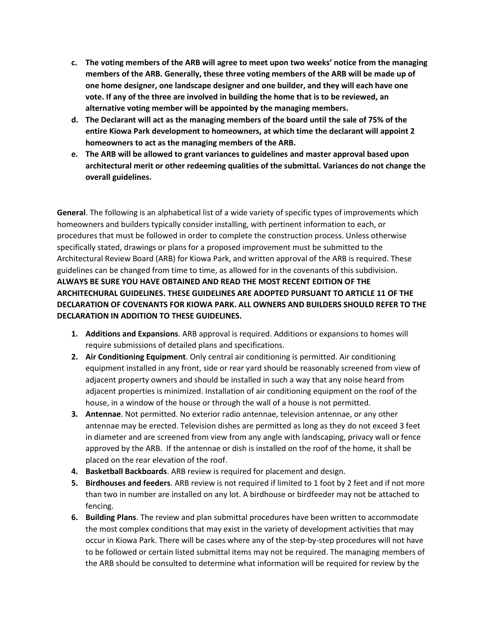- **c. The voting members of the ARB will agree to meet upon two weeks' notice from the managing members of the ARB. Generally, these three voting members of the ARB will be made up of one home designer, one landscape designer and one builder, and they will each have one vote. If any of the three are involved in building the home that is to be reviewed, an alternative voting member will be appointed by the managing members.**
- **d. The Declarant will act as the managing members of the board until the sale of 75% of the entire Kiowa Park development to homeowners, at which time the declarant will appoint 2 homeowners to act as the managing members of the ARB.**
- **e. The ARB will be allowed to grant variances to guidelines and master approval based upon architectural merit or other redeeming qualities of the submittal. Variances do not change the overall guidelines.**

**General**. The following is an alphabetical list of a wide variety of specific types of improvements which homeowners and builders typically consider installing, with pertinent information to each, or procedures that must be followed in order to complete the construction process. Unless otherwise specifically stated, drawings or plans for a proposed improvement must be submitted to the Architectural Review Board (ARB) for Kiowa Park, and written approval of the ARB is required. These guidelines can be changed from time to time, as allowed for in the covenants of this subdivision. **ALWAYS BE SURE YOU HAVE OBTAINED AND READ THE MOST RECENT EDITION OF THE ARCHITECHURAL GUIDELINES. THESE GUIDELINES ARE ADOPTED PURSUANT TO ARTICLE 11 OF THE DECLARATION OF COVENANTS FOR KIOWA PARK. ALL OWNERS AND BUILDERS SHOULD REFER TO THE DECLARATION IN ADDITION TO THESE GUIDELINES.**

- **1. Additions and Expansions**. ARB approval is required. Additions or expansions to homes will require submissions of detailed plans and specifications.
- **2. Air Conditioning Equipment**. Only central air conditioning is permitted. Air conditioning equipment installed in any front, side or rear yard should be reasonably screened from view of adjacent property owners and should be installed in such a way that any noise heard from adjacent properties is minimized. Installation of air conditioning equipment on the roof of the house, in a window of the house or through the wall of a house is not permitted.
- **3. Antennae**. Not permitted. No exterior radio antennae, television antennae, or any other antennae may be erected. Television dishes are permitted as long as they do not exceed 3 feet in diameter and are screened from view from any angle with landscaping, privacy wall or fence approved by the ARB. If the antennae or dish is installed on the roof of the home, it shall be placed on the rear elevation of the roof.
- **4. Basketball Backboards**. ARB review is required for placement and design.
- **5. Birdhouses and feeders**. ARB review is not required if limited to 1 foot by 2 feet and if not more than two in number are installed on any lot. A birdhouse or birdfeeder may not be attached to fencing.
- **6. Building Plans**. The review and plan submittal procedures have been written to accommodate the most complex conditions that may exist in the variety of development activities that may occur in Kiowa Park. There will be cases where any of the step-by-step procedures will not have to be followed or certain listed submittal items may not be required. The managing members of the ARB should be consulted to determine what information will be required for review by the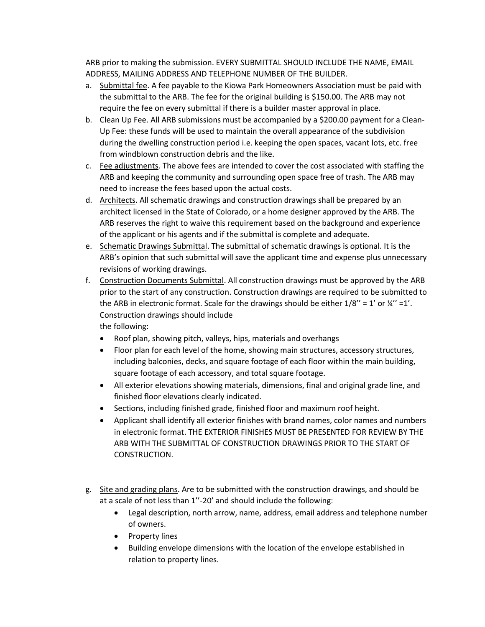ARB prior to making the submission. EVERY SUBMITTAL SHOULD INCLUDE THE NAME, EMAIL ADDRESS, MAILING ADDRESS AND TELEPHONE NUMBER OF THE BUILDER.

- a. Submittal fee. A fee payable to the Kiowa Park Homeowners Association must be paid with the submittal to the ARB. The fee for the original building is \$150.00. The ARB may not require the fee on every submittal if there is a builder master approval in place.
- b. Clean Up Fee. All ARB submissions must be accompanied by a \$200.00 payment for a Clean-Up Fee: these funds will be used to maintain the overall appearance of the subdivision during the dwelling construction period i.e. keeping the open spaces, vacant lots, etc. free from windblown construction debris and the like.
- c. Fee adjustments. The above fees are intended to cover the cost associated with staffing the ARB and keeping the community and surrounding open space free of trash. The ARB may need to increase the fees based upon the actual costs.
- d. Architects. All schematic drawings and construction drawings shall be prepared by an architect licensed in the State of Colorado, or a home designer approved by the ARB. The ARB reserves the right to waive this requirement based on the background and experience of the applicant or his agents and if the submittal is complete and adequate.
- e. Schematic Drawings Submittal. The submittal of schematic drawings is optional. It is the ARB's opinion that such submittal will save the applicant time and expense plus unnecessary revisions of working drawings.
- f. Construction Documents Submittal. All construction drawings must be approved by the ARB prior to the start of any construction. Construction drawings are required to be submitted to the ARB in electronic format. Scale for the drawings should be either  $1/8'' = 1'$  or  $\frac{1}{4}'' = 1'$ . Construction drawings should include the following:
	- Roof plan, showing pitch, valleys, hips, materials and overhangs
	- Floor plan for each level of the home, showing main structures, accessory structures, including balconies, decks, and square footage of each floor within the main building, square footage of each accessory, and total square footage.
	- All exterior elevations showing materials, dimensions, final and original grade line, and finished floor elevations clearly indicated.
	- Sections, including finished grade, finished floor and maximum roof height.
	- Applicant shall identify all exterior finishes with brand names, color names and numbers in electronic format. THE EXTERIOR FINISHES MUST BE PRESENTED FOR REVIEW BY THE ARB WITH THE SUBMITTAL OF CONSTRUCTION DRAWINGS PRIOR TO THE START OF CONSTRUCTION.
- g. Site and grading plans. Are to be submitted with the construction drawings, and should be at a scale of not less than 1''-20' and should include the following:
	- Legal description, north arrow, name, address, email address and telephone number of owners.
	- Property lines
	- Building envelope dimensions with the location of the envelope established in relation to property lines.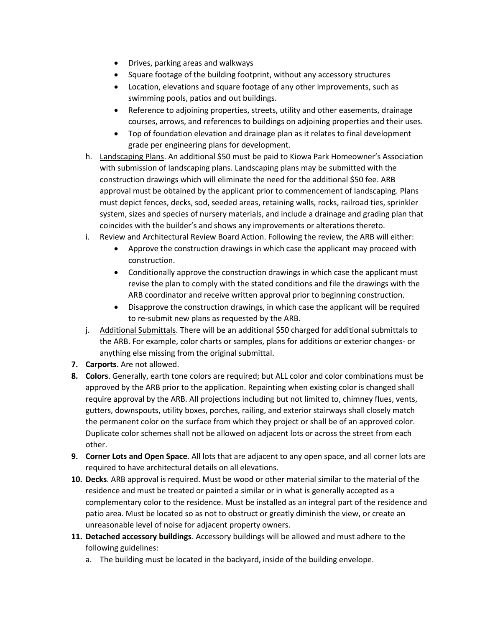- Drives, parking areas and walkways
- Square footage of the building footprint, without any accessory structures
- Location, elevations and square footage of any other improvements, such as swimming pools, patios and out buildings.
- Reference to adjoining properties, streets, utility and other easements, drainage courses, arrows, and references to buildings on adjoining properties and their uses.
- Top of foundation elevation and drainage plan as it relates to final development grade per engineering plans for development.
- h. Landscaping Plans. An additional \$50 must be paid to Kiowa Park Homeowner's Association with submission of landscaping plans. Landscaping plans may be submitted with the construction drawings which will eliminate the need for the additional \$50 fee. ARB approval must be obtained by the applicant prior to commencement of landscaping. Plans must depict fences, decks, sod, seeded areas, retaining walls, rocks, railroad ties, sprinkler system, sizes and species of nursery materials, and include a drainage and grading plan that coincides with the builder's and shows any improvements or alterations thereto.
- i. Review and Architectural Review Board Action. Following the review, the ARB will either:
	- Approve the construction drawings in which case the applicant may proceed with construction.
	- Conditionally approve the construction drawings in which case the applicant must revise the plan to comply with the stated conditions and file the drawings with the ARB coordinator and receive written approval prior to beginning construction.
	- Disapprove the construction drawings, in which case the applicant will be required to re-submit new plans as requested by the ARB.
- j. Additional Submittals. There will be an additional \$50 charged for additional submittals to the ARB. For example, color charts or samples, plans for additions or exterior changes- or anything else missing from the original submittal.
- **7. Carports**. Are not allowed.
- **8. Colors**. Generally, earth tone colors are required; but ALL color and color combinations must be approved by the ARB prior to the application. Repainting when existing color is changed shall require approval by the ARB. All projections including but not limited to, chimney flues, vents, gutters, downspouts, utility boxes, porches, railing, and exterior stairways shall closely match the permanent color on the surface from which they project or shall be of an approved color. Duplicate color schemes shall not be allowed on adjacent lots or across the street from each other.
- **9. Corner Lots and Open Space**. All lots that are adjacent to any open space, and all corner lots are required to have architectural details on all elevations.
- **10. Decks**. ARB approval is required. Must be wood or other material similar to the material of the residence and must be treated or painted a similar or in what is generally accepted as a complementary color to the residence. Must be installed as an integral part of the residence and patio area. Must be located so as not to obstruct or greatly diminish the view, or create an unreasonable level of noise for adjacent property owners.
- **11. Detached accessory buildings**. Accessory buildings will be allowed and must adhere to the following guidelines:
	- a. The building must be located in the backyard, inside of the building envelope.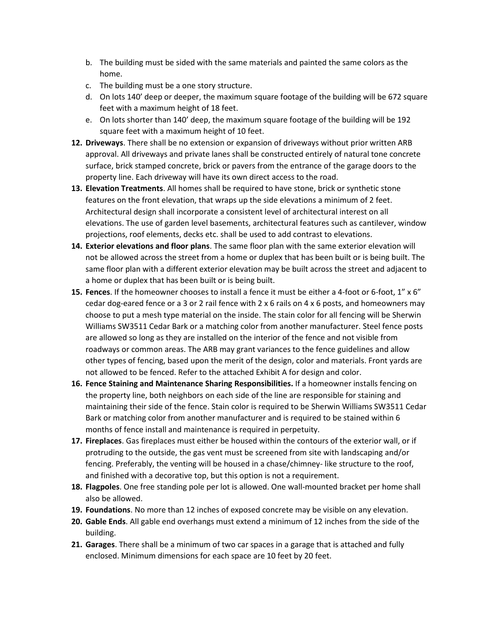- b. The building must be sided with the same materials and painted the same colors as the home.
- c. The building must be a one story structure.
- d. On lots 140' deep or deeper, the maximum square footage of the building will be 672 square feet with a maximum height of 18 feet.
- e. On lots shorter than 140' deep, the maximum square footage of the building will be 192 square feet with a maximum height of 10 feet.
- **12. Driveways**. There shall be no extension or expansion of driveways without prior written ARB approval. All driveways and private lanes shall be constructed entirely of natural tone concrete surface, brick stamped concrete, brick or pavers from the entrance of the garage doors to the property line. Each driveway will have its own direct access to the road.
- **13. Elevation Treatments**. All homes shall be required to have stone, brick or synthetic stone features on the front elevation, that wraps up the side elevations a minimum of 2 feet. Architectural design shall incorporate a consistent level of architectural interest on all elevations. The use of garden level basements, architectural features such as cantilever, window projections, roof elements, decks etc. shall be used to add contrast to elevations.
- **14. Exterior elevations and floor plans**. The same floor plan with the same exterior elevation will not be allowed across the street from a home or duplex that has been built or is being built. The same floor plan with a different exterior elevation may be built across the street and adjacent to a home or duplex that has been built or is being built.
- **15. Fences**. If the homeowner chooses to install a fence it must be either a 4-foot or 6-foot, 1" x 6" cedar dog-eared fence or a 3 or 2 rail fence with 2 x 6 rails on 4 x 6 posts, and homeowners may choose to put a mesh type material on the inside. The stain color for all fencing will be Sherwin Williams SW3511 Cedar Bark or a matching color from another manufacturer. Steel fence posts are allowed so long as they are installed on the interior of the fence and not visible from roadways or common areas. The ARB may grant variances to the fence guidelines and allow other types of fencing, based upon the merit of the design, color and materials. Front yards are not allowed to be fenced. Refer to the attached Exhibit A for design and color.
- **16. Fence Staining and Maintenance Sharing Responsibilities.** If a homeowner installs fencing on the property line, both neighbors on each side of the line are responsible for staining and maintaining their side of the fence. Stain color is required to be Sherwin Williams SW3511 Cedar Bark or matching color from another manufacturer and is required to be stained within 6 months of fence install and maintenance is required in perpetuity.
- **17. Fireplaces**. Gas fireplaces must either be housed within the contours of the exterior wall, or if protruding to the outside, the gas vent must be screened from site with landscaping and/or fencing. Preferably, the venting will be housed in a chase/chimney- like structure to the roof, and finished with a decorative top, but this option is not a requirement.
- **18. Flagpoles**. One free standing pole per lot is allowed. One wall-mounted bracket per home shall also be allowed.
- **19. Foundations**. No more than 12 inches of exposed concrete may be visible on any elevation.
- **20. Gable Ends**. All gable end overhangs must extend a minimum of 12 inches from the side of the building.
- **21. Garages**. There shall be a minimum of two car spaces in a garage that is attached and fully enclosed. Minimum dimensions for each space are 10 feet by 20 feet.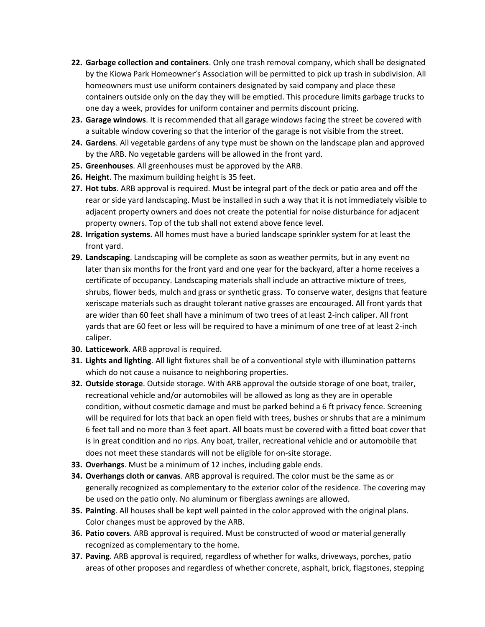- **22. Garbage collection and containers**. Only one trash removal company, which shall be designated by the Kiowa Park Homeowner's Association will be permitted to pick up trash in subdivision. All homeowners must use uniform containers designated by said company and place these containers outside only on the day they will be emptied. This procedure limits garbage trucks to one day a week, provides for uniform container and permits discount pricing.
- **23. Garage windows**. It is recommended that all garage windows facing the street be covered with a suitable window covering so that the interior of the garage is not visible from the street.
- **24. Gardens**. All vegetable gardens of any type must be shown on the landscape plan and approved by the ARB. No vegetable gardens will be allowed in the front yard.
- **25. Greenhouses**. All greenhouses must be approved by the ARB.
- **26. Height**. The maximum building height is 35 feet.
- **27. Hot tubs**. ARB approval is required. Must be integral part of the deck or patio area and off the rear or side yard landscaping. Must be installed in such a way that it is not immediately visible to adjacent property owners and does not create the potential for noise disturbance for adjacent property owners. Top of the tub shall not extend above fence level.
- **28. Irrigation systems**. All homes must have a buried landscape sprinkler system for at least the front yard.
- **29. Landscaping**. Landscaping will be complete as soon as weather permits, but in any event no later than six months for the front yard and one year for the backyard, after a home receives a certificate of occupancy. Landscaping materials shall include an attractive mixture of trees, shrubs, flower beds, mulch and grass or synthetic grass. To conserve water, designs that feature xeriscape materials such as draught tolerant native grasses are encouraged. All front yards that are wider than 60 feet shall have a minimum of two trees of at least 2-inch caliper. All front yards that are 60 feet or less will be required to have a minimum of one tree of at least 2-inch caliper.
- **30. Latticework**. ARB approval is required.
- **31. Lights and lighting**. All light fixtures shall be of a conventional style with illumination patterns which do not cause a nuisance to neighboring properties.
- **32. Outside storage**. Outside storage. With ARB approval the outside storage of one boat, trailer, recreational vehicle and/or automobiles will be allowed as long as they are in operable condition, without cosmetic damage and must be parked behind a 6 ft privacy fence. Screening will be required for lots that back an open field with trees, bushes or shrubs that are a minimum 6 feet tall and no more than 3 feet apart. All boats must be covered with a fitted boat cover that is in great condition and no rips. Any boat, trailer, recreational vehicle and or automobile that does not meet these standards will not be eligible for on-site storage.
- **33. Overhangs**. Must be a minimum of 12 inches, including gable ends.
- **34. Overhangs cloth or canvas**. ARB approval is required. The color must be the same as or generally recognized as complementary to the exterior color of the residence. The covering may be used on the patio only. No aluminum or fiberglass awnings are allowed.
- **35. Painting**. All houses shall be kept well painted in the color approved with the original plans. Color changes must be approved by the ARB.
- **36. Patio covers**. ARB approval is required. Must be constructed of wood or material generally recognized as complementary to the home.
- **37. Paving**. ARB approval is required, regardless of whether for walks, driveways, porches, patio areas of other proposes and regardless of whether concrete, asphalt, brick, flagstones, stepping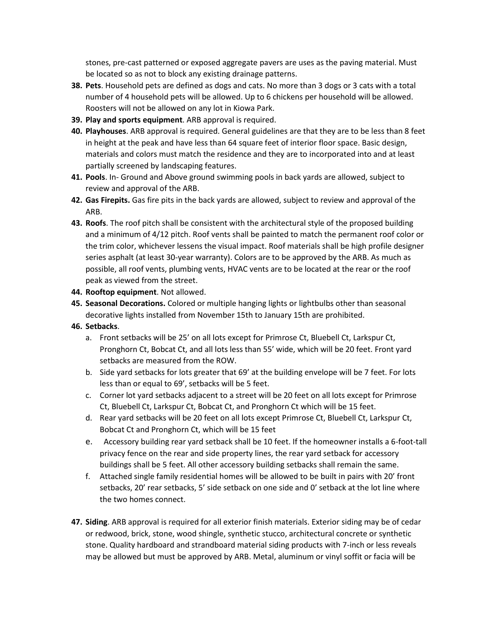stones, pre-cast patterned or exposed aggregate pavers are uses as the paving material. Must be located so as not to block any existing drainage patterns.

- **38. Pets**. Household pets are defined as dogs and cats. No more than 3 dogs or 3 cats with a total number of 4 household pets will be allowed. Up to 6 chickens per household will be allowed. Roosters will not be allowed on any lot in Kiowa Park.
- **39. Play and sports equipment**. ARB approval is required.
- **40. Playhouses**. ARB approval is required. General guidelines are that they are to be less than 8 feet in height at the peak and have less than 64 square feet of interior floor space. Basic design, materials and colors must match the residence and they are to incorporated into and at least partially screened by landscaping features.
- **41. Pools**. In- Ground and Above ground swimming pools in back yards are allowed, subject to review and approval of the ARB.
- **42. Gas Firepits.** Gas fire pits in the back yards are allowed, subject to review and approval of the ARB.
- **43. Roofs**. The roof pitch shall be consistent with the architectural style of the proposed building and a minimum of 4/12 pitch. Roof vents shall be painted to match the permanent roof color or the trim color, whichever lessens the visual impact. Roof materials shall be high profile designer series asphalt (at least 30-year warranty). Colors are to be approved by the ARB. As much as possible, all roof vents, plumbing vents, HVAC vents are to be located at the rear or the roof peak as viewed from the street.
- **44. Rooftop equipment**. Not allowed.
- **45. Seasonal Decorations.** Colored or multiple hanging lights or lightbulbs other than seasonal decorative lights installed from November 15th to January 15th are prohibited.
- **46. Setbacks**.
	- a. Front setbacks will be 25' on all lots except for Primrose Ct, Bluebell Ct, Larkspur Ct, Pronghorn Ct, Bobcat Ct, and all lots less than 55' wide, which will be 20 feet. Front yard setbacks are measured from the ROW.
	- b. Side yard setbacks for lots greater that 69' at the building envelope will be 7 feet. For lots less than or equal to 69', setbacks will be 5 feet.
	- c. Corner lot yard setbacks adjacent to a street will be 20 feet on all lots except for Primrose Ct, Bluebell Ct, Larkspur Ct, Bobcat Ct, and Pronghorn Ct which will be 15 feet.
	- d. Rear yard setbacks will be 20 feet on all lots except Primrose Ct, Bluebell Ct, Larkspur Ct, Bobcat Ct and Pronghorn Ct, which will be 15 feet
	- e. Accessory building rear yard setback shall be 10 feet. If the homeowner installs a 6-foot-tall privacy fence on the rear and side property lines, the rear yard setback for accessory buildings shall be 5 feet. All other accessory building setbacks shall remain the same.
	- f. Attached single family residential homes will be allowed to be built in pairs with 20' front setbacks, 20' rear setbacks, 5' side setback on one side and 0' setback at the lot line where the two homes connect.
- **47. Siding**. ARB approval is required for all exterior finish materials. Exterior siding may be of cedar or redwood, brick, stone, wood shingle, synthetic stucco, architectural concrete or synthetic stone. Quality hardboard and strandboard material siding products with 7-inch or less reveals may be allowed but must be approved by ARB. Metal, aluminum or vinyl soffit or facia will be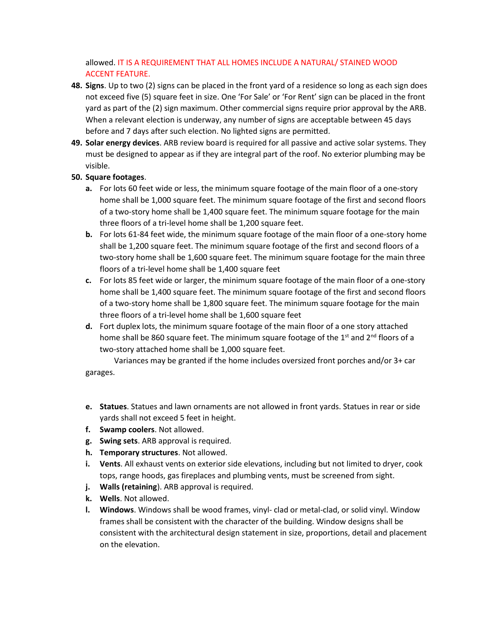allowed. IT IS A REQUIREMENT THAT ALL HOMES INCLUDE A NATURAL/ STAINED WOOD ACCENT FEATURE.

- **48. Signs**. Up to two (2) signs can be placed in the front yard of a residence so long as each sign does not exceed five (5) square feet in size. One 'For Sale' or 'For Rent' sign can be placed in the front yard as part of the (2) sign maximum. Other commercial signs require prior approval by the ARB. When a relevant election is underway, any number of signs are acceptable between 45 days before and 7 days after such election. No lighted signs are permitted.
- **49. Solar energy devices**. ARB review board is required for all passive and active solar systems. They must be designed to appear as if they are integral part of the roof. No exterior plumbing may be visible.
- **50. Square footages**.
	- **a.** For lots 60 feet wide or less, the minimum square footage of the main floor of a one-story home shall be 1,000 square feet. The minimum square footage of the first and second floors of a two-story home shall be 1,400 square feet. The minimum square footage for the main three floors of a tri-level home shall be 1,200 square feet.
	- **b.** For lots 61-84 feet wide, the minimum square footage of the main floor of a one-story home shall be 1,200 square feet. The minimum square footage of the first and second floors of a two-story home shall be 1,600 square feet. The minimum square footage for the main three floors of a tri-level home shall be 1,400 square feet
	- **c.** For lots 85 feet wide or larger, the minimum square footage of the main floor of a one-story home shall be 1,400 square feet. The minimum square footage of the first and second floors of a two-story home shall be 1,800 square feet. The minimum square footage for the main three floors of a tri-level home shall be 1,600 square feet
	- **d.** Fort duplex lots, the minimum square footage of the main floor of a one story attached home shall be 860 square feet. The minimum square footage of the  $1<sup>st</sup>$  and  $2<sup>nd</sup>$  floors of a two-story attached home shall be 1,000 square feet.

Variances may be granted if the home includes oversized front porches and/or 3+ car garages.

- **e. Statues**. Statues and lawn ornaments are not allowed in front yards. Statues in rear or side yards shall not exceed 5 feet in height.
- **f. Swamp coolers**. Not allowed.
- **g. Swing sets**. ARB approval is required.
- **h. Temporary structures**. Not allowed.
- **i. Vents**. All exhaust vents on exterior side elevations, including but not limited to dryer, cook tops, range hoods, gas fireplaces and plumbing vents, must be screened from sight.
- **j. Walls (retaining**). ARB approval is required.
- **k. Wells**. Not allowed.
- **l. Windows**. Windows shall be wood frames, vinyl- clad or metal-clad, or solid vinyl. Window frames shall be consistent with the character of the building. Window designs shall be consistent with the architectural design statement in size, proportions, detail and placement on the elevation.